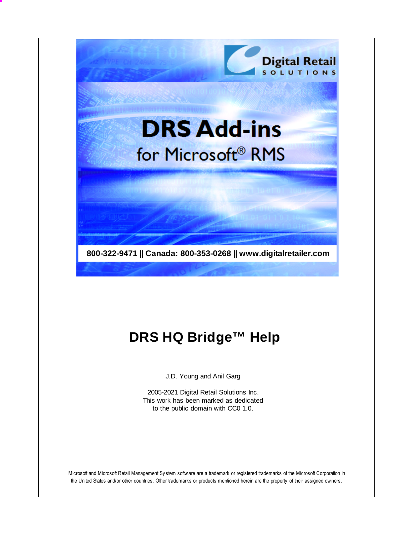

# **DRS HQ Bridge™ Help**

J.D. Young and Anil Garg

2005-2021 Digital Retail Solutions Inc. This work has been marked as dedicated to the public domain with CC0 1.0.

Microsoft and Microsoft Retail Management Sy stem software are a trademark or registered trademarks of the Microsoft Corporation in the United States and/or other countries. Other trademarks or products mentioned herein are the property of their assigned owners.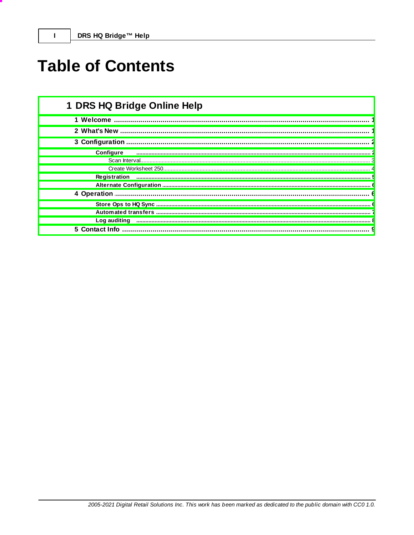$\mathbf{I}$ 

# **Table of Contents**

| 1 DRS HQ Bridge Online Help |
|-----------------------------|
|                             |
|                             |
|                             |
| <b>Configure</b>            |
|                             |
|                             |
| Registration                |
|                             |
|                             |
|                             |
|                             |
| Log auditing                |
| 5 Contact Info              |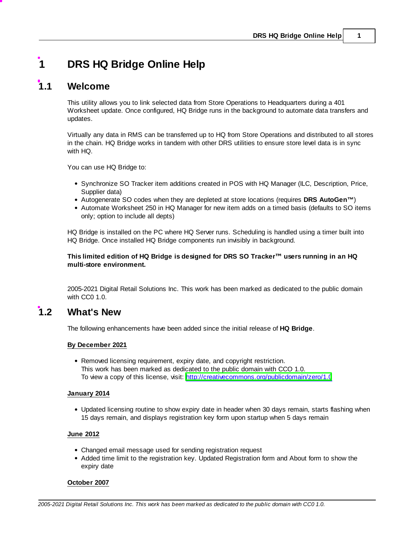## <span id="page-2-0"></span>**1 DRS HQ Bridge Online Help**

## **1.1 Welcome**

This utility allows you to link selected data from Store Operations to Headquarters during a 401 Worksheet update. Once configured, HQ Bridge runs in the background to automate data transfers and updates.

Virtually any data in RMS can be transferred up to HQ from Store Operations and distributed to all stores in the chain. HQ Bridge works in tandem with other DRS utilities to ensure store level data is in sync with HQ.

You can use HQ Bridge to:

- Synchronize SO Tracker item additions created in POS with HQ Manager (ILC, Description, Price, Supplier data)
- Autogenerate SO codes when they are depleted at store locations (requires **DRS AutoGen™**)
- Automate Worksheet 250 in HQ Manager for new item adds on a timed basis (defaults to SO items only; option to include all depts)

HQ Bridge is installed on the PC where HQ Server runs. Scheduling is handled using a timer built into HQ Bridge. Once installed HQ Bridge components run invisibly in background.

#### **This limited edition of HQ Bridge is designed for DRS SO Tracker™ users running in an HQ multi-store environment.**

2005-2021 Digital Retail Solutions Inc. This work has been marked as dedicated to the public domain with CC0 1.0.

## <span id="page-2-1"></span>**1.2 What's New**

The following enhancements have been added since the initial release of **HQ Bridge**.

#### **By December 2021**

Removed licensing requirement, expiry date, and copyright restriction. This work has been marked as dedicated to the public domain with CCO 1.0. To view a copy of this license, visit: <http://creativecommons.org/publicdomain/zero/1.0>

#### **January 2014**

Updated licensing routine to show expiry date in header when 30 days remain, starts flashing when 15 days remain, and displays registration key form upon startup when 5 days remain

#### **June 2012**

- Changed email message used for sending registration request
- Added time limit to the registration key. Updated Registration form and About form to show the expiry date

#### **October 2007**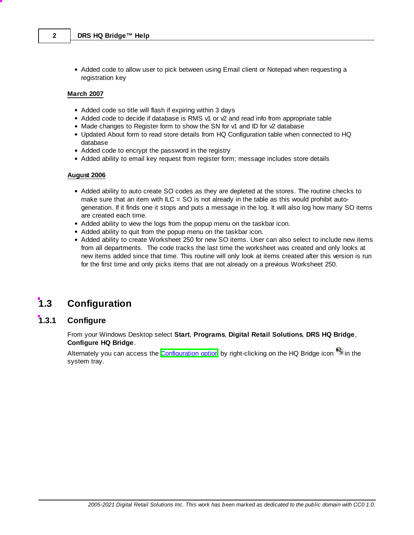• Added code to allow user to pick between using Email client or Notepad when requesting a registration key

#### **March 2007**

- Added code so title will flash if expiring within 3 days
- Added code to decide if database is RMS v1 or v2 and read info from appropriate table
- Made changes to Register form to show the SN for v1 and ID for v2 database
- Updated About form to read store details from HQ Configuration table when connected to HQ database
- Added code to encrypt the password in the registry
- Added ability to email key request from register form; message includes store details

#### **August 2006**

- Added ability to auto create SO codes as they are depleted at the stores. The routine checks to make sure that an item with  $ILC = SO$  is not already in the table as this would prohibit autogeneration. If it finds one it stops and puts a message in the log. It will also log how many SO items are created each time.
- Added ability to view the logs from the popup menu on the taskbar icon.
- Added ability to quit from the popup menu on the taskbar icon.
- Added ability to create Worksheet 250 for new SO items. User can also select to include new items from all departments. The code tracks the last time the worksheet was created and only looks at new items added since that time. This routine will only look at items created after this version is run for the first time and only picks items that are not already on a previous Worksheet 250.

## <span id="page-3-0"></span>**1.3 Configuration**

## **1.3.1 Configure**

From your Windows Desktop select **Start**, **Programs**, **Digital Retail Solutions**, **DRS HQ Bridge**, **Configure HQ Bridge**.

Alternately you can access the **[Configuration](#page-7-0) option** by right-clicking on the HQ Bridge icon <sup>63</sup> in the system tray.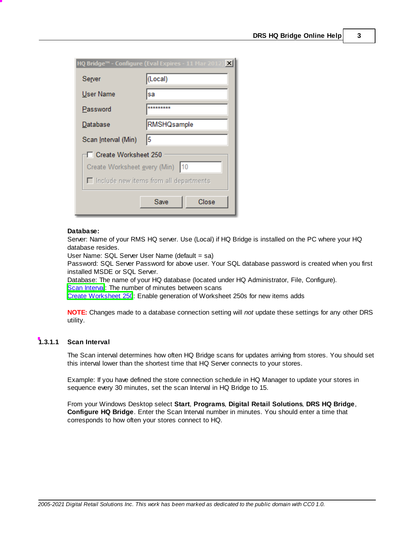|                                               | $\vert x \vert$<br>HQ Bridge™ - Configure (Eval Expires - 11 Mar 2012) |  |  |  |
|-----------------------------------------------|------------------------------------------------------------------------|--|--|--|
| Server                                        | (Local)                                                                |  |  |  |
| User Name                                     | sa                                                                     |  |  |  |
| Password                                      | *********                                                              |  |  |  |
| Database                                      | <b>RMSHQsample</b>                                                     |  |  |  |
| Scan Interval (Min)                           | 15                                                                     |  |  |  |
| Create Worksheet 250                          |                                                                        |  |  |  |
| 10<br>Create Worksheet every (Min)            |                                                                        |  |  |  |
| $\Box$ include new items from all departments |                                                                        |  |  |  |
|                                               | Close<br>Save                                                          |  |  |  |

#### **Database:**

Server: Name of your RMS HQ server. Use (Local) if HQ Bridge is installed on the PC where your HQ database resides.

User Name: SQL Server User Name (default = sa)

Password: SQL Server Password for above user. Your SQL database password is created when you first installed MSDE or SQL Server.

Database: The name of your HQ database (located under HQ Administrator, File, Configure).

Scan Interva: The number of minutes between scans

Create [Worksheet](#page-5-0) 250: Enable generation of Worksheet 250s for new items adds

**NOTE:** Changes made to a database connection setting will *not* update these settings for any other DRS utility.

#### <span id="page-4-0"></span>**1.3.1.1 Scan Interval**

The Scan interval determines how often HQ Bridge scans for updates arriving from stores. You should set this interval lower than the shortest time that HQ Server connects to your stores.

Example: If you have defined the store connection schedule in HQ Manager to update your stores in sequence every 30 minutes, set the scan Interval in HQ Bridge to 15.

From your Windows Desktop select **Start**, **Programs**, **Digital Retail Solutions**, **DRS HQ Bridge**, **Configure HQ Bridge**. Enter the Scan Interval number in minutes. You should enter a time that corresponds to how often your stores connect to HQ.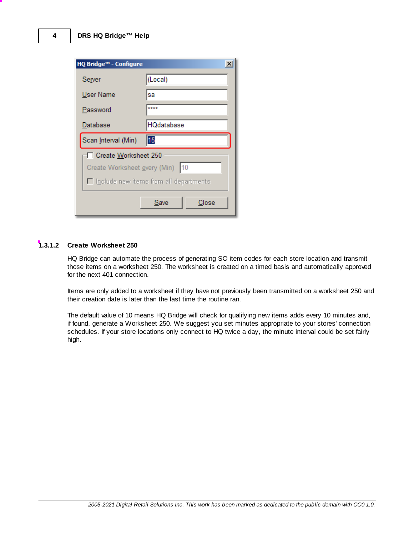| HQ Bridge™ - Configure                        | ×                 |  |  |  |
|-----------------------------------------------|-------------------|--|--|--|
| Server                                        | (Local)           |  |  |  |
| User Name                                     | sa                |  |  |  |
| Password                                      | ****              |  |  |  |
| Database                                      | <b>HQdatabase</b> |  |  |  |
| Scan Interval (Min)                           | 15                |  |  |  |
| Create Worksheet 250                          |                   |  |  |  |
| 10<br>Create Worksheet every (Min)            |                   |  |  |  |
| $\Box$ Include new items from all departments |                   |  |  |  |
|                                               | Close<br>Save     |  |  |  |

#### <span id="page-5-0"></span>**1.3.1.2 Create Worksheet 250**

HQ Bridge can automate the process of generating SO item codes for each store location and transmit those items on a worksheet 250. The worksheet is created on a timed basis and automatically approved for the next 401 connection.

Items are only added to a worksheet if they have not previously been transmitted on a worksheet 250 and their creation date is later than the last time the routine ran.

The default value of 10 means HQ Bridge will check for qualifying new items adds every 10 minutes and, if found, generate a Worksheet 250. We suggest you set minutes appropriate to your stores' connection schedules. If your store locations only connect to HQ twice a day, the minute interval could be set fairly high.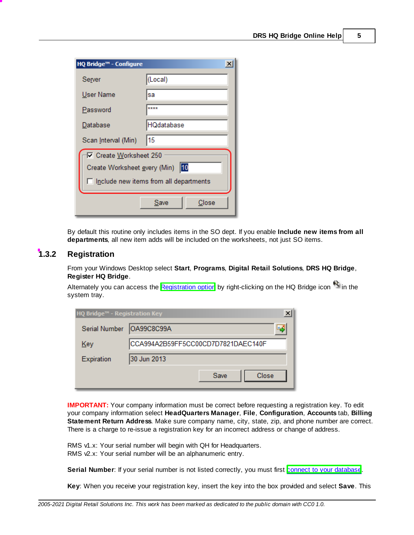| HQ Bridge™ - Configure                   | ×             |  |  |  |
|------------------------------------------|---------------|--|--|--|
| Server                                   | (Local)       |  |  |  |
| User Name                                | sa            |  |  |  |
| Password                                 | ****          |  |  |  |
| Database                                 | HQdatabase    |  |  |  |
| Scan Interval (Min)                      | 15            |  |  |  |
| Create Worksheet 250                     |               |  |  |  |
| 10<br>Create Worksheet every (Min)       |               |  |  |  |
| □ Include new items from all departments |               |  |  |  |
|                                          | Save<br>Close |  |  |  |

By default this routine only includes items in the SO dept. If you enable **Include new items from all departments**, all new item adds will be included on the worksheets, not just SO items.

## <span id="page-6-0"></span>**1.3.2 Registration**

From your Windows Desktop select **Start**, **Programs**, **Digital Retail Solutions**, **DRS HQ Bridge**, **Register HQ Bridge**.

Alternately you can access the [Registration](#page-7-0) option by right-clicking on the HQ Bridge icon <sup>e</sup>t in the system tray.

| HQ Bridge™ - Registration Key |                                    |  |  |
|-------------------------------|------------------------------------|--|--|
| Serial Number                 | OA99C8C99A<br>ಕ್                   |  |  |
| Key                           | CCA994A2B59FF5CC00CD7D7821DAEC140F |  |  |
| Expiration                    | 30 Jun 2013                        |  |  |
|                               | Save<br>Close                      |  |  |

**IMPORTANT:** Your company information must be correct before requesting a registration key. To edit your company information select **HeadQuarters Manager**, **File**, **Configuration**, **Accounts** tab, **Billing Statement Return Address**. Make sure company name, city, state, zip, and phone number are correct. There is a charge to re-issue a registration key for an incorrect address or change of address.

RMS v1.x: Your serial number will begin with QH for Headquarters. RMS  $\sqrt{2}$ .x: Your serial number will be an alphanumeric entry.

**Serial Number:** If your serial number is not listed correctly, you must first connect to your [database.](#page-3-0)

**Key**: When you receive your registration key, insert the key into the box provided and select **Save**. This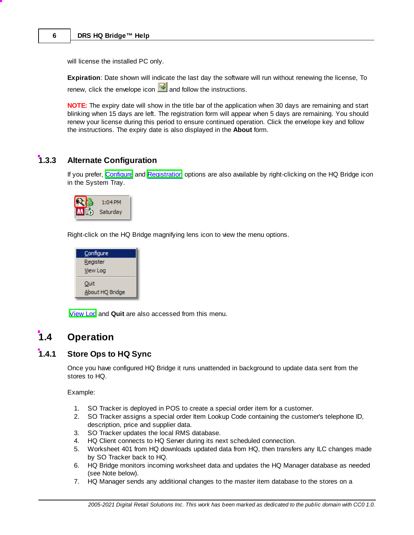will license the installed PC only.

**Expiration**: Date shown will indicate the last day the software will run without renewing the license, To renew, click the envelope icon  $\Box$  and follow the instructions.

**NOTE:** The expiry date will show in the title bar of the application when 30 days are remaining and start blinking when 15 days are left. The registration form will appear when 5 days are remaining. You should renew your license during this period to ensure continued operation. Click the envelope key and follow the instructions. The expiry date is also displayed in the **About** form.

### <span id="page-7-0"></span>**1.3.3 Alternate Configuration**

If you prefer, [Configure](#page-3-0) and [Registration](#page-6-0) options are also available by right-clicking on the HQ Bridge icon in the System Tray.



Right-click on the HQ Bridge magnifying lens icon to view the menu options.



[View](#page-9-0) Log and **Quit** are also accessed from this menu.

## <span id="page-7-1"></span>**1.4 Operation**

## **1.4.1 Store Ops to HQ Sync**

Once you have configured HQ Bridge it runs unattended in background to update data sent from the stores to HQ.

Example:

- 1. SO Tracker is deployed in POS to create a special order item for a customer.
- 2. SO Tracker assigns a special order Item Lookup Code containing the customer's telephone ID, description, price and supplier data.
- 3. SO Tracker updates the local RMS database.
- 4. HQ Client connects to HQ Server during its next scheduled connection.
- 5. Worksheet 401 from HQ downloads updated data from HQ, then transfers any ILC changes made by SO Tracker back to HQ.
- 6. HQ Bridge monitors incoming worksheet data and updates the HQ Manager database as needed (see Note below).
- 7. HQ Manager sends any additional changes to the master item database to the stores on a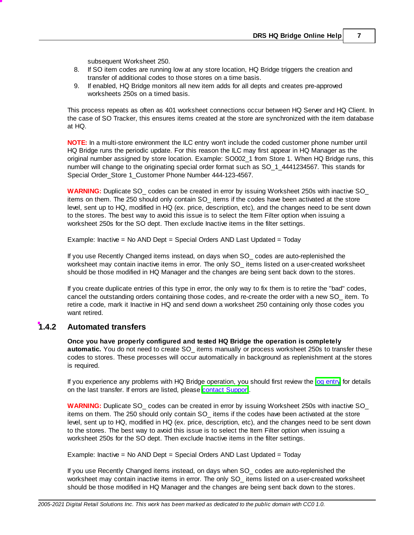subsequent Worksheet 250.

- 8. If SO item codes are running low at any store location, HQ Bridge triggers the creation and transfer of additional codes to those stores on a time basis.
- 9. If enabled, HQ Bridge monitors all new item adds for all depts and creates pre-approved worksheets 250s on a timed basis.

This process repeats as often as 401 worksheet connections occur between HQ Server and HQ Client. In the case of SO Tracker, this ensures items created at the store are synchronized with the item database at HQ.

**NOTE:** In a multi-store environment the ILC entry won't include the coded customer phone number until HQ Bridge runs the periodic update. For this reason the ILC may first appear in HQ Manager as the original number assigned by store location. Example: SO002\_1 from Store 1. When HQ Bridge runs, this number will change to the originating special order format such as SO\_1\_4441234567. This stands for Special Order\_Store 1\_Customer Phone Number 444-123-4567.

**WARNING:** Duplicate SO codes can be created in error by issuing Worksheet 250s with inactive SO items on them. The 250 should only contain SO\_ items if the codes have been activated at the store level, sent up to HQ, modified in HQ (ex. price, description, etc), and the changes need to be sent down to the stores. The best way to avoid this issue is to select the Item Filter option when issuing a worksheet 250s for the SO dept. Then exclude Inactive items in the filter settings.

Example: Inactive = No AND Dept = Special Orders AND Last Updated = Today

If you use Recently Changed items instead, on days when SO\_ codes are auto-replenished the worksheet may contain inactive items in error. The only SO\_ items listed on a user-created worksheet should be those modified in HQ Manager and the changes are being sent back down to the stores.

If you create duplicate entries of this type in error, the only way to fix them is to retire the "bad" codes, cancel the outstanding orders containing those codes, and re-create the order with a new SO\_ item. To retire a code, mark it Inactive in HQ and send down a worksheet 250 containing only those codes you want retired.

#### <span id="page-8-0"></span>**1.4.2 Automated transfers**

**Once you have properly configured and tested HQ Bridge the operation is completely automatic.** You do not need to create SO items manually or process worksheet 250s to transfer these codes to stores. These processes will occur automatically in background as replenishment at the stores is required.

If you experience any problems with HQ Bridge operation, you should first review the og [entry](#page-9-0) for details on the last transfer. If errors are listed, please contact Suppor.

**WARNING:** Duplicate SO codes can be created in error by issuing Worksheet 250s with inactive SO items on them. The 250 should only contain SO\_ items if the codes have been activated at the store level, sent up to HQ, modified in HQ (ex. price, description, etc), and the changes need to be sent down to the stores. The best way to avoid this issue is to select the Item Filter option when issuing a worksheet 250s for the SO dept. Then exclude Inactive items in the filter settings.

Example: Inactive = No AND Dept = Special Orders AND Last Updated = Today

If you use Recently Changed items instead, on days when SO\_ codes are auto-replenished the worksheet may contain inactive items in error. The only SO\_ items listed on a user-created worksheet should be those modified in HQ Manager and the changes are being sent back down to the stores.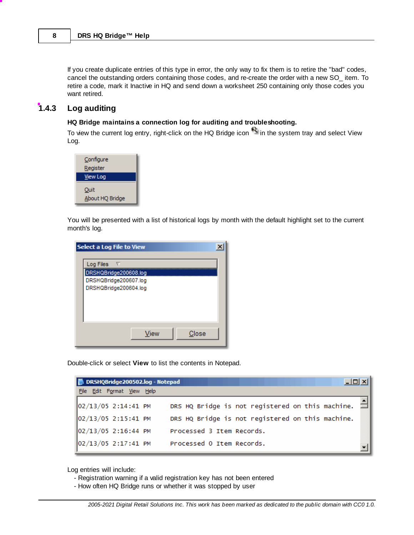If you create duplicate entries of this type in error, the only way to fix them is to retire the "bad" codes, cancel the outstanding orders containing those codes, and re-create the order with a new SO\_ item. To retire a code, mark it Inactive in HQ and send down a worksheet 250 containing only those codes you want retired.

#### <span id="page-9-0"></span>**1.4.3 Log auditing**

#### **HQ Bridge maintains a connection log for auditing and troubleshooting.**

To view the current log entry, right-click on the HQ Bridge icon in the system tray and select View Log.



You will be presented with a list of historical logs by month with the default highlight set to the current month's log.

| Select a Log File to View                                                                     |  |
|-----------------------------------------------------------------------------------------------|--|
| Log Files $\nabla$<br>DRSHQBridge200608.log<br>DRSHQBridge200607.log<br>DRSHQBridge200604.log |  |
| View<br>Close                                                                                 |  |

Double-click or select **View** to list the contents in Notepad.

|  |                            |  | DRSHQBridge200502.log - Notepad<br>$  \Box \Box   \times  $ |  |
|--|----------------------------|--|-------------------------------------------------------------|--|
|  | File Edit Format View Help |  |                                                             |  |
|  | 02/13/05 2:14:41 PM        |  | DRS HQ Bridge is not registered on this machine.            |  |
|  | 02/13/05 2:15:41 PM        |  | DRS HQ Bridge is not registered on this machine.            |  |
|  | 02/13/05 2:16:44 PM        |  | Processed 3 Item Records.                                   |  |
|  | 02/13/05 2:17:41 PM        |  | Processed 0 Item Records.                                   |  |

Log entries will include:

- Registration warning if a valid registration key has not been entered
- How often HQ Bridge runs or whether it was stopped by user